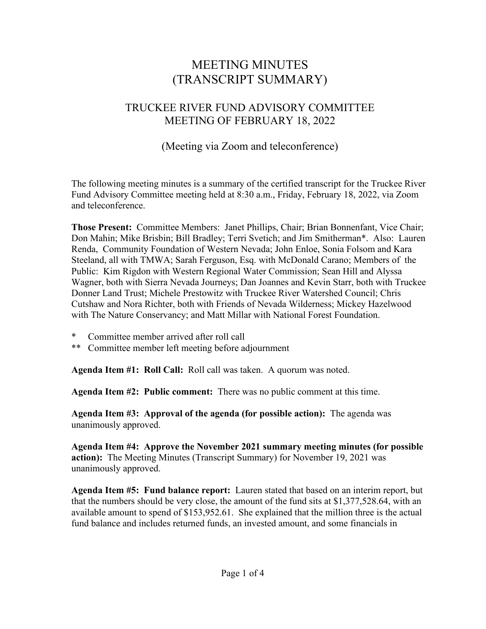# MEETING MINUTES (TRANSCRIPT SUMMARY)

## TRUCKEE RIVER FUND ADVISORY COMMITTEE MEETING OF FEBRUARY 18, 2022

## (Meeting via Zoom and teleconference)

The following meeting minutes is a summary of the certified transcript for the Truckee River Fund Advisory Committee meeting held at 8:30 a.m., Friday, February 18, 2022, via Zoom and teleconference.

**Those Present:** Committee Members: Janet Phillips, Chair; Brian Bonnenfant, Vice Chair; Don Mahin; Mike Brisbin; Bill Bradley; Terri Svetich; and Jim Smitherman\*. Also: Lauren Renda, Community Foundation of Western Nevada; John Enloe, Sonia Folsom and Kara Steeland, all with TMWA; Sarah Ferguson, Esq. with McDonald Carano; Members of the Public: Kim Rigdon with Western Regional Water Commission; Sean Hill and Alyssa Wagner, both with Sierra Nevada Journeys; Dan Joannes and Kevin Starr, both with Truckee Donner Land Trust; Michele Prestowitz with Truckee River Watershed Council; Chris Cutshaw and Nora Richter, both with Friends of Nevada Wilderness; Mickey Hazelwood with The Nature Conservancy; and Matt Millar with National Forest Foundation.

- Committee member arrived after roll call
- \*\* Committee member left meeting before adjournment

**Agenda Item #1: Roll Call:** Roll call was taken. A quorum was noted.

**Agenda Item #2: Public comment:** There was no public comment at this time.

**Agenda Item #3: Approval of the agenda (for possible action):** The agenda was unanimously approved.

**Agenda Item #4: Approve the November 2021 summary meeting minutes (for possible action):** The Meeting Minutes (Transcript Summary) for November 19, 2021 was unanimously approved.

**Agenda Item #5: Fund balance report:** Lauren stated that based on an interim report, but that the numbers should be very close, the amount of the fund sits at \$1,377,528.64, with an available amount to spend of \$153,952.61. She explained that the million three is the actual fund balance and includes returned funds, an invested amount, and some financials in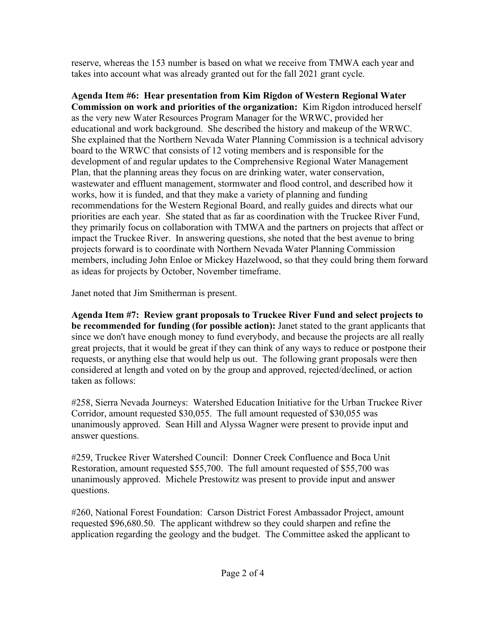reserve, whereas the 153 number is based on what we receive from TMWA each year and takes into account what was already granted out for the fall 2021 grant cycle.

**Agenda Item #6: Hear presentation from Kim Rigdon of Western Regional Water Commission on work and priorities of the organization:** Kim Rigdon introduced herself as the very new Water Resources Program Manager for the WRWC, provided her educational and work background. She described the history and makeup of the WRWC. She explained that the Northern Nevada Water Planning Commission is a technical advisory board to the WRWC that consists of 12 voting members and is responsible for the development of and regular updates to the Comprehensive Regional Water Management Plan, that the planning areas they focus on are drinking water, water conservation, wastewater and effluent management, stormwater and flood control, and described how it works, how it is funded, and that they make a variety of planning and funding recommendations for the Western Regional Board, and really guides and directs what our priorities are each year. She stated that as far as coordination with the Truckee River Fund, they primarily focus on collaboration with TMWA and the partners on projects that affect or impact the Truckee River. In answering questions, she noted that the best avenue to bring projects forward is to coordinate with Northern Nevada Water Planning Commission members, including John Enloe or Mickey Hazelwood, so that they could bring them forward as ideas for projects by October, November timeframe.

Janet noted that Jim Smitherman is present.

**Agenda Item #7: Review grant proposals to Truckee River Fund and select projects to be recommended for funding (for possible action):** Janet stated to the grant applicants that since we don't have enough money to fund everybody, and because the projects are all really great projects, that it would be great if they can think of any ways to reduce or postpone their requests, or anything else that would help us out. The following grant proposals were then considered at length and voted on by the group and approved, rejected/declined, or action taken as follows:

#258, Sierra Nevada Journeys: Watershed Education Initiative for the Urban Truckee River Corridor, amount requested \$30,055. The full amount requested of \$30,055 was unanimously approved. Sean Hill and Alyssa Wagner were present to provide input and answer questions.

#259, Truckee River Watershed Council: Donner Creek Confluence and Boca Unit Restoration, amount requested \$55,700. The full amount requested of \$55,700 was unanimously approved. Michele Prestowitz was present to provide input and answer questions.

#260, National Forest Foundation: Carson District Forest Ambassador Project, amount requested \$96,680.50. The applicant withdrew so they could sharpen and refine the application regarding the geology and the budget. The Committee asked the applicant to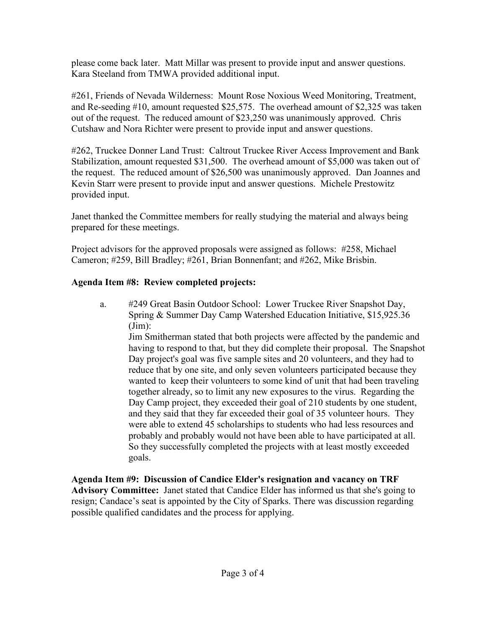please come back later. Matt Millar was present to provide input and answer questions. Kara Steeland from TMWA provided additional input.

#261, Friends of Nevada Wilderness: Mount Rose Noxious Weed Monitoring, Treatment, and Re-seeding #10, amount requested \$25,575. The overhead amount of \$2,325 was taken out of the request. The reduced amount of \$23,250 was unanimously approved. Chris Cutshaw and Nora Richter were present to provide input and answer questions.

#262, Truckee Donner Land Trust: Caltrout Truckee River Access Improvement and Bank Stabilization, amount requested \$31,500. The overhead amount of \$5,000 was taken out of the request. The reduced amount of \$26,500 was unanimously approved. Dan Joannes and Kevin Starr were present to provide input and answer questions. Michele Prestowitz provided input.

Janet thanked the Committee members for really studying the material and always being prepared for these meetings.

Project advisors for the approved proposals were assigned as follows: #258, Michael Cameron; #259, Bill Bradley; #261, Brian Bonnenfant; and #262, Mike Brisbin.

### **Agenda Item #8: Review completed projects:**

a. #249 Great Basin Outdoor School: Lower Truckee River Snapshot Day, Spring & Summer Day Camp Watershed Education Initiative, \$15,925.36 (Jim):

Jim Smitherman stated that both projects were affected by the pandemic and having to respond to that, but they did complete their proposal. The Snapshot Day project's goal was five sample sites and 20 volunteers, and they had to reduce that by one site, and only seven volunteers participated because they wanted to keep their volunteers to some kind of unit that had been traveling together already, so to limit any new exposures to the virus. Regarding the Day Camp project, they exceeded their goal of 210 students by one student, and they said that they far exceeded their goal of 35 volunteer hours. They were able to extend 45 scholarships to students who had less resources and probably and probably would not have been able to have participated at all. So they successfully completed the projects with at least mostly exceeded goals.

**Agenda Item #9: Discussion of Candice Elder's resignation and vacancy on TRF Advisory Committee:** Janet stated that Candice Elder has informed us that she's going to resign; Candace's seat is appointed by the City of Sparks. There was discussion regarding possible qualified candidates and the process for applying.